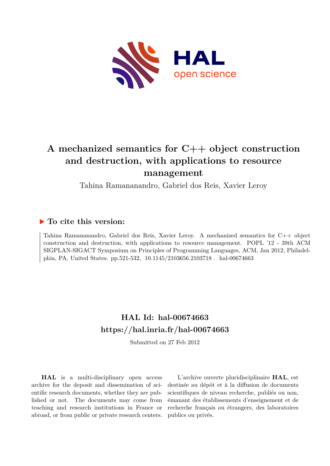

# **A mechanized semantics for C++ object construction and destruction, with applications to resource management**

Tahina Ramananandro, Gabriel dos Reis, Xavier Leroy

# **To cite this version:**

Tahina Ramananandro, Gabriel dos Reis, Xavier Leroy. A mechanized semantics for C++ object construction and destruction, with applications to resource management. POPL '12 - 39th ACM SIGPLAN-SIGACT Symposium on Principles of Programming Languages, ACM, Jan 2012, Philadelphia, PA, United States. pp.521-532, 10.1145/2103656.2103718. hal-00674663

# **HAL Id: hal-00674663 <https://hal.inria.fr/hal-00674663>**

Submitted on 27 Feb 2012

**HAL** is a multi-disciplinary open access archive for the deposit and dissemination of scientific research documents, whether they are published or not. The documents may come from teaching and research institutions in France or abroad, or from public or private research centers.

L'archive ouverte pluridisciplinaire **HAL**, est destinée au dépôt et à la diffusion de documents scientifiques de niveau recherche, publiés ou non, émanant des établissements d'enseignement et de recherche français ou étrangers, des laboratoires publics ou privés.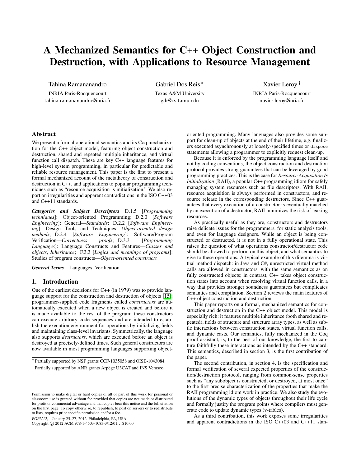# A Mechanized Semantics for C++ Object Construction and Destruction, with Applications to Resource Management

Tahina Ramananandro

INRIA Paris-Rocquencourt tahina.ramananandro@inria.fr

Gabriel Dos Reis <sup>∗</sup> Texas A&M University gdr@cs.tamu.edu

Xavier Leroy † INRIA Paris-Rocquencourt xavier.leroy@inria.fr

# Abstract

We present a formal operational semantics and its Coq mechanization for the C++ object model, featuring object construction and destruction, shared and repeated multiple inheritance, and virtual function call dispatch. These are key C++ language features for high-level system programming, in particular for predictable and reliable resource management. This paper is the first to present a formal mechanized account of the metatheory of construction and destruction in C++, and applications to popular programming techniques such as "resource acquisition is initialization." We also report on irregularities and apparent contradictions in the ISO C++03 and C++11 standards.

*Categories and Subject Descriptors* D.1.5 [*Programming techniques*]: Object-oriented Programming; D.2.0 [*Software Engineering*]: General—*Standards*; D.2.2 [*Software Engineering*]: Design Tools and Techniques—*Object-oriented design methods*; D.2.4 [*Software Engineering*]: Software/Program Verification—*Correctness proofs*; D.3.3 [*Programming Languages*]: Language Constructs and Features—*Classes and objects*, *Inheritance*; F.3.3 [*Logics and meanings of programs*]: Studies of program constructs—*Object-oriented constructs*

*General Terms* Languages, Verification

# 1. Introduction

One of the earliest decisions for C++ (in 1979) was to provide language support for the construction and destruction of objects [\[15\]](#page-12-0): programmer-supplied code fragments called *constructors* are automatically executed when a new object is created and before it is made available to the rest of the program; these constructors can execute arbitrary code sequences and are intended to establish the execution environment for operations by initializing fields and maintaining class-level invariants. Symmetrically, the language also supports *destructors*, which are executed before an object is destroyed at precisely-defined times. Such general constructors are now available in most programming languages supporting object-

POPL'12, January 25–27, 2012, Philadelphia, PA, USA.

Copyright © 2012 ACM 978-1-4503-1083-3/12/01... \$10.00

oriented programming. Many languages also provides some support for clean-up of objects at the end of their lifetime, e.g. finalizers executed asynchronously at loosely-specified times or dispose statements allowing a programmer to explicitly request clean-up.

Because it is enforced by the programming language itself and not by coding conventions, the object construction and destruction protocol provides strong guarantees that can be leveraged by good programming practices. This is the case for *Resource Acquisition Is Initialization* (RAII), a popular C++ programming idiom for safely managing system resources such as file descriptors. With RAII, resource acquisition is always performed in constructors, and resource release in the corresponding destructors. Since C++ guarantees that every execution of a constructor is eventually matched by an execution of a destructor, RAII minimizes the risk of leaking resources.

As practically useful as they are, constructors and destructors raise delicate issues for the programmers, for static analysis tools, and even for language designers. While an object is being constructed or destructed, it is not in a fully operational state. This raises the question of what operations constructor/destructor code should be allowed to perform on this object, and what semantics to give to these operations. A typical example of this dilemma is virtual method dispatch: in Java and C#, unrestricted virtual method calls are allowed in constructors, with the same semantics as on fully constructed objects; in contrast, C++ takes object construction states into account when resolving virtual function calls, in a way that provides stronger soundness guarantees but complicates semantics and compilation. Section 2 reviews the main features of C++ object construction and destruction.

This paper reports on a formal, mechanized semantics for construction and destruction in the C++ object model. This model is especially rich: it features multiple inheritance (both shared and repeated), fields of structure and structure array types, as well as subtle interactions between construction states, virtual function calls, and dynamic casts. Our semantics, fully mechanized in the Coq proof assistant, is, to the best of our knowledge, the first to capture faithfully these interactions as intended by the C++ standard. This semantics, described in section 3, is the first contribution of the paper.

The second contribution, in section 4, is the specification and formal verification of several expected properties of the construction/destruction protocol, ranging from common-sense properties such as "any subobject is constructed, or destroyed, at most once" to the first precise characterization of the properties that make the RAII programming idiom work in practice. We also study the evolutions of the dynamic types of objects throughout their life cycle and formally justify the program points where compilers must generate code to update dynamic types (v-tables).

As a third contribution, this work exposes some irregularities and apparent contradictions in the ISO C++03 and C++11 stan-

<sup>∗</sup> Partially supported by NSF grants CCF-1035058 and OISE-1043084.

<sup>&</sup>lt;sup>†</sup> Partially supported by ANR grants Arpège U3CAT and INS Verasco.

Permission to make digital or hard copies of all or part of this work for personal or classroom use is granted without fee provided that copies are not made or distributed for profit or commercial advantage and that copies bear this notice and the full citation on the first page. To copy otherwise, to republish, to post on servers or to redistribute to lists, requires prior specific permission and/or a fee.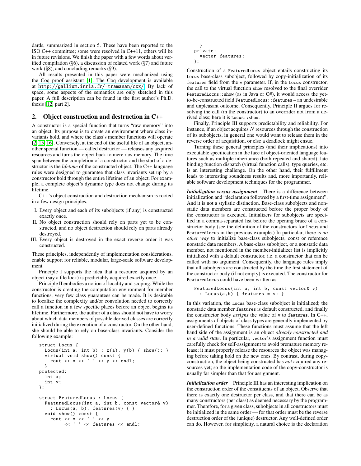dards, summarized in section 5. These have been reported to the ISO C++ committee; some were resolved in C++11, others will be in future revisions. We finish the paper with a few words about verified compilation ( $\S$ 6), a discussion of related work ( $\S$ 7) and future work  $(\S 8)$ , and concluding remarks  $(\S 9)$ .

All results presented in this paper were mechanized using the Coq proof assistant [\[1\]](#page-12-1). The Coq development is available at [http://gallium.inria.fr/˜tramanan/cxx/](http://gallium.inria.fr/~tramanan/cxx/). By lack of space, some aspects of the semantics are only sketched in this paper. A full description can be found in the first author's Ph.D. thesis [\[12,](#page-12-2) part 2].

# <span id="page-2-0"></span>2. Object construction and destruction in C++

A constructor is a special function that turns "raw memory" into an object. Its purpose is to create an environment where class invariants hold, and where the class's member functions will operate [\[2,](#page-12-3) [15,](#page-12-0) [16\]](#page-12-4). Conversely, at the end of the useful life of an object, another special function — called destructor — releases any acquired resources and turns the object back to mere raw memory. The time span between the completion of a constructor and the start of a destructor is the *lifetime* of the constructed object. The C++ language rules were designed to guarantee that class invariants set up by a constructor hold through the entire lifetime of an object. For example, a complete object's dynamic type does not change during its lifetime.

C++'s object construction and destruction mechanism is rooted in a few design principles:

- I. Every object and each of its subobjects (if any) is constructed exactly once.
- II. No object construction should rely on parts yet to be constructed, and no object destruction should rely on parts already destroyed.
- III. Every object is destroyed in the exact reverse order it was constructed.

These principles, independently of implementation considerations, enable support for reliable, modular, large-scale software development.

Principle I supports the idea that a resource acquired by an object (say a file lock) is predictably acquired exactly once.

Principle II embodies a notion of locality and scoping. While the constructor is creating the computation environment for member functions, very few class guarantees can be made. It is desirable to localize the complexity and/or convolution needed to correctly call a function in a few specific places before an object begins its lifetime. Furthermore, the author of a class should not have to worry about which data members of possible derived classes are correctly initialized during the execution of a constructor. On the other hand, she should be able to rely on base-class invariants. Consider the following example:

```
struct Locus {
  Locus(int a, int b) : x(a), y(b) { show(); }
  virtual void show () const {
     cout \langle x \rangle \langle x \rangle \langle x \rangle \langle x \rangle \langle x \rangle \langle x \rangle \langle x \rangle and 1;
  }
protected :
  int x;
  int y;
};
struct FeaturedLocus : Locus {
  FeaturedLocus (int a, int b, const vector& v)
     : Locus(a, b), features(v) { }
   void show () const {
      cout << x << ' ' << y
             << ' ' << features << endl;
```

```
}
private:
 vector features;
};
```
Construction of a FeaturedLocus object entails constructing its Locus base-class subobject, followed by copy-initialization of its features field from the v parameter. If, in the Locus constructor, the call to the virtual function show resolved to the final overrider Featured Locus:: show (as in Java or  $C#$ ), it would access the yetto-be-constructed field FeaturedLocus::features – an undesirable and unpleasant outcome. Consequently, Principle II argues for resolving the call (in the constructor) to an overrider not from a derived class; here it is Locus::show.

Finally, Principle III supports predictability and reliability. For instance, if an object acquires  $N$  resources through the construction of its subobjects, in general one would want to release them in the reverse order of acquisition, or else a deadlock might ensue.

Turning these general principles (and their implications) into executable specification in the face of object-oriented language features such as multiple inheritance (both repeated and shared), late binding function dispatch (virtual function calls), type queries, etc. is an interesting challenge. On the other hand, their fulfillment leads to interesting soundness results and, more importantly, reliable software development techniques for the programmer.

*Initialization versus assignment* There is a difference between initialization and "declaration followed by a first-time assignment". And it is not a stylistic distinction. Base-class subobjects and nonstatic data members are constructed before the proper body of the constructor is executed. Initializers for subobjects are specified in a comma-separated list before the opening brace of a constructor body (see the definition of the constructors for Locus and FeaturedLocus in the previous example.) In particular, there is *no other way* to initialize base-class subobjects, const or reference nonstatic data members. A base-class subobject, or a nonstatic data member, not mentioned in the member-initializer list is implicitly initialized with a default constructor, i.e. a constructor that can be called with no argument. Consequently, the language rules imply that all subobjects are constructed by the time the first statement of the constructor body (if not empty) is executed. The constructor for FeaturedLocus could have been written as

```
FeaturedLocus (int a, int b, const vector& v)
  : Locus(a,b) { features = v; }
```
In this variation, the Locus base-class subobject is initialized; the nonstatic data member features is default constructed, and finally the constructor body *assigns* the value of v to features. In C++, assignments of objects of class types are generally implemented by user-defined functions. These functions must assume that the left hand side of the assignment is an object *already constructed and in a valid state*. In particular, vector's assignment function must carefully check for self-assignment to avoid premature memory release; it must properly release the resources the object was managing before taking hold on the new ones. By contrast, during copyconstruction, the object being constructed has *not* acquired any resources yet; so the implementation code of the copy-constructor is usually far simpler than that for assignment.

<span id="page-2-1"></span>*Initialization order* Principle III has an interesting implication on the construction order of the constituents of an object. Observe that there is exactly one destructor per class, and that there can be as many constructors (per class) as deemed necessary by the programmer. Therefore, for a given class, subobjects in all constructors must be initialized in the same order — for that order must be the reverse destruction order of the (unique) destructor. Any well-defined order can do. However, for simplicity, a natural choice is the declaration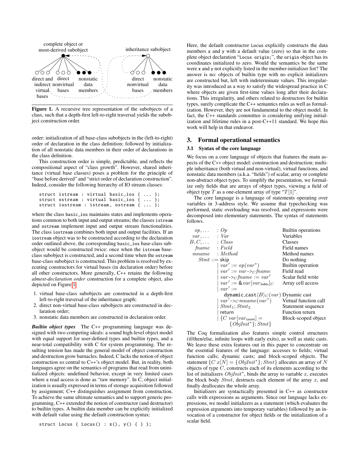

<span id="page-3-0"></span>Figure 1. A recursive tree representation of the subobjects of a class, such that a depth-first left-to-right traversal yields the subobject construction order.

order: initialization of all base-class subobjects in the (left-to-right) order of declaration in the class definition; followed by initialization of all nonstatic data members in their order of declarations in the class definition.

This construction order is simple, predictable, and reflects the compositional aspect of "class growth". However, shared inheritance (virtual base classes) poses a problem for the principle of "base before derived" and "strict order of declaration construction". Indeed, consider the following hierarchy of IO stream classes:

```
struct istream : virtual basic_ios { ... };
struct ostream : virtual basic_ios { ... };
struct iostream : istream , ostream { ... };
```
where the class basic\_ios maintains states and implements operations common to both input and output streams; the classes istream and ostream implement input and output stream functionalities. The class iostream combines both input and output facilities. If an iostream object was to be constructed according to the declaration order outlined above, the corresponding basic\_ios base-class subobject would be constructed twice: once when the istream baseclass subobject is constructed, and a second time when the ostream base-class subobject is constructed. This problem is resolved by executing constructors for virtual bases (in declaration order) before all other constructors. More generally, C++ retains the following *almost-declaration order* construction for a complete object, also depicted on Figure [1:](#page-3-0)

- 1. virtual base-class subobjects are constructed in a depth-first left-to-right traversal of the inheritance graph;
- 2. direct non-virtual base-class subobjects are constructed in declaration order;
- 3. nonstatic data members are constructed in declaration order.

*Builtin object types* The C++ programming language was designed with two competing ideals: a sound high-level object model with equal support for user-defined types and builtin types, and a near-total compatibility with C for system programming. The resulting tension has made the general model of object construction and destruction grow barnacles. Indeed, C lacks the notion of object construction so central to C++'s object model. But, in reality, both languages agree on the semantics of programs that read from uninitialized objects: undefined behavior, except in very limited cases where a read access is done as "raw memory". In C, object initialization is usually expressed in terms of storage acquisition followed by assignment; C++ distinguishes assignment from construction. To achieve the same ultimate semantics and to support generic programming, C++ extended the notion of constructor (and destructor) to builtin types. A builtin data member can be explicitly initialized with default value using the default construction syntax:

struct Locus { Locus () : x(), y() { } };

Here, the default constructor Locus explicitly constructs the data members x and y with a default value (zero) so that in the complete object declaration "Locus origin;", the origin object has its coordinates initialized to zero. Would the semantics be the same were x and y not explicitly listed in the member-initializer list? The answer is no: objects of builtin type with no explicit initializers are constructed but, left with indeterminate values. This irregularity was introduced as a way to satisfy the widespread practice in C where objects are given first-time values long after their declarations. This irregularity, and others related to destructors for builtin types, surely complicate the C++ semantics rules as well as formalization. However, they are not fundamental to the object model. In fact, the C++ standards committee is considering unifying initialization and lifetime rules in a post-C++11 standard. We hope this work will help in that endeavor.

#### 3. Formal operational semantics

#### <span id="page-3-1"></span>3.1 Syntax of the core language

We focus on a core language of objects that features the main aspects of the C++ object model: construction and destruction; multiple inheritance (both virtual and non-virtual), virtual functions, and nonstatic data members (a.k.a. "fields") of scalar, array or complete non-abstract object types. To simplify the presentation, we formalize only fields that are arrays of object types, viewing a field of object type T as a one-element array of type " $T[1]'$ ".

The core language is a language of statements operating over variables in 3-address style. We assume that typechecking was performed, static overloading was resolved, and expressions were decomposed into elementary statements. The syntax of statements follows.

| $op, \ldots$   | :Op                                                   | Builtin operations       |
|----------------|-------------------------------------------------------|--------------------------|
| $var, \ldots$  | $\therefore Var$                                      | Variables                |
| $B, C, \ldots$ | $\therefore Class$                                    | Classes                  |
| fname          | : Field                                               | Field names              |
| mname          | : Method                                              | Method names             |
|                | $Stmt ::=$ skip                                       | Do nothing               |
|                | $var' := op(var^*)$                                   | <b>Builtin operation</b> |
|                | $var' := var \rightarrow c$ fname                     | Field read               |
|                | $var\rightarrow_C \text{frame} := var'$               | Scalar field write       |
|                | $var' := \& var[var_{\text{index}}]_C$                | Array cell access        |
|                | $ var' :=$                                            |                          |
|                | dynamic_cast $\langle B \rangle_C (var)$ Dynamic cast |                          |
|                | $var' \rightarrow_{C} mname(var^*)$                   | Virtual function call    |
|                | $Stmt_1; Stmt_2$                                      | Statement sequence       |
|                | return                                                | Function return          |
|                | $\vert$ {C var [var count] =                          | Block-scoped object      |
|                | $\{ObjInit^*\}; Stmt\}$                               |                          |

The Coq formalization also features simple control structures (if/then/else, infinite loops with early exits), as well as static casts. We leave these extra features out in this paper to concentrate on the essential features of the language: accesses to fields; virtual function calls; dynamic casts; and block-scoped objects. The statement  $\{C x[N] = \{ObjInit^*\}; Stmt\}$  allocates an array of N objects of type  $C$ , constructs each of its elements according to the list of initializers  $ObjInit^*$ , binds the array to variable x, executes the block body  $Stmt$ , destructs each element of the array x, and finally deallocates the whole array.

Initializers are syntactically presented in C++ as constructor calls with expressions as arguments. Since our language lacks expressions, we model initializers as a statement (which evaluates the expression arguments into temporary variables) followed by an invocation of a constructor for object fields or the initialization of a scalar field.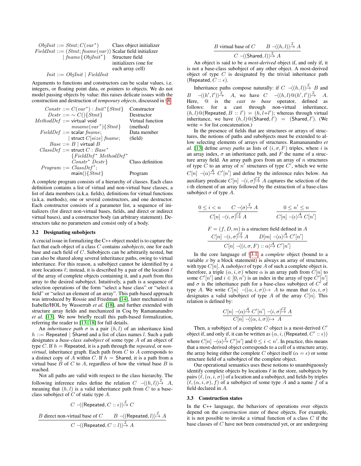| $ObjInit ::= Stmt; C(var^*)$       | Class object initializer                               |
|------------------------------------|--------------------------------------------------------|
| $FieldInit ::= (Stmt; fname(var))$ | Scalar field initializer                               |
| $ fname{ObjInit*}\rangle$          | Structure field initializers (one for each array cell) |
| $Init ::= ObjInit   FieldInit$     |                                                        |

Arguments to functions and constructors can be scalar values, i.e. integers, or floating point data, or pointers to objects. We do not model passing objects by value: this raises delicate issues with the construction and destruction of *temporary objects*, discussed in §[8.](#page-12-5)

| $Construct:$                       | $Costr ::= C(var^*) : Init^* {Stmt}$ | Constructor      |
|------------------------------------|--------------------------------------|------------------|
| $DetholdDef ::=$ virtual void      | Virtual function                     |                  |
| $MethodDef ::=$ scalar frame;      | Data member                          |                  |
| $FieldDef ::=$ scalar frame;       | Data member                          |                  |
| $Base ::= B  $ virtual B           |                                      |                  |
| $ClassDef ::=$ struct $C : Base^*$ |                                      |                  |
| ${FieldDef* MethodDef*}$           | Constr* Destr}                       | Class definition |
| $Program ::= ClassDef";$           | main({}                              | Program          |

A complete program consists of a hierarchy of classes. Each class definition contains a list of virtual and non-virtual base classes, a list of data members (a.k.a. fields), definitions for virtual functions (a.k.a. methods), one or several constructors, and one destructor. Each constructor consists of a parameter list, a sequence of initializers (for direct non-virtual bases, fields, and direct or indirect virtual bases), and a constructor body (an arbitrary statement). Destructors take no parameters and consist only of a body.

#### 3.2 Designating subobjects

A crucial issue in formalizing the C++ object model is to capture the fact that each object of a class C contains *subobjects*, one for each base and each field of C. Subobjects can be arbitrarily nested, but can also be shared along several inheritance paths, owing to virtual inheritance. For this reason, a subobject cannot be identified by a store locations  $\ell$ ; instead, it is described by a pair of the location  $\ell$ of the array of complete objects containing it, and a *path* from this array to the desired subobject. Intuitively, a path is a sequence of selection operations of the form "select a base class" or "select a field" or "select an element of an array". This path-based approach was introduced by Rossie and Friedman [\[14\]](#page-12-6), later mechanized in Isabelle/HOL by Wasserrab *et al.* [\[18\]](#page-12-7), and further extended with structure array fields and mechanized in Coq by Ramananandro *et al.* [\[13\]](#page-12-8). We now briefly recall this path-based formalization, referring the reader to [\[13,](#page-12-8) [18\]](#page-12-7) for full details.

An *inheritance path*  $\sigma$  is a pair  $(h, l)$  of an inheritance kind  $h ::=$  Repeated | Shared and a list of class names l. Such a path designates a *base-class subobject* of some type A of an object of type C. If  $h =$  Repeated, it is a path through the *repeated*, or *nonvirtual*, inheritance graph. Each path from C to A corresponds to a distinct copy of A within C. If  $h =$  Shared, it is a path from a virtual base  $B$  of  $C$  to  $A$ , regardless of how the virtual base  $B$  is reached.

Not all paths are valid with respect to the class hierarchy. The following inference rules define the relation  $C \prec (h, l) \not\supseteq A$ , meaning that  $(h, l)$  is a valid inheritance path from  $C$  to a baseclass subobject of  $C$  of static type  $A$ .

$$
C \prec (\text{Repeated}, C :: \epsilon) \not\stackrel{\mathcal{I}}{\rightarrow} C
$$
  

$$
\xrightarrow{B \text{ direct non-virtual base of } C} B \prec (\text{Repeated}, l) \not\stackrel{\mathcal{I}}{\rightarrow} A
$$
  

$$
C \prec (\text{Repeated}, C :: l) \not\stackrel{\mathcal{I}}{\rightarrow} A
$$

B virtual base of C 
$$
B \sim \langle (h, l) \rangle \stackrel{\mathcal{I}}{\rightarrow} A
$$
  
 $C \sim \langle \text{Shared}, l \rangle \stackrel{\mathcal{I}}{\rightarrow} A$ 

An object is said to be a *most-derived* object if, and only if, it is not a base-class subobject of any other object. A most-derived object of type  $C$  is designated by the trivial inheritance path (Repeated,  $C::\epsilon$ ).

Inheritance paths compose naturally: if  $C \prec (h, l) \rightarrow^{\mathcal{I}} B$  and  $B \quad \langle (h', l') \rangle \frac{\mathcal{I}}{\rightarrow} A$ , we have  $C \quad \langle (h, l) @ (h', l') \rangle \frac{\mathcal{I}}{\rightarrow} A$ . Here, @ is the *cast to base* operator, defined as follows: for a cast through non-virtual inheritance,  $(h, l)@\textsf{(Repeated, } B :: l') = (h, l + l');$  whereas through virtual inheritance, we have  $(h, l)@\text{(Shared}, l') = (\text{Shared}, l').$  (We write  $+$  for list concatenation.)

In the presence of fields that are structures or arrays of structures, the notions of paths and subobjects must be extended to allow selecting elements of arrays of structures. Ramananandro *et al.* [\[13\]](#page-12-8) define *array paths* as lists of  $(i, \sigma, F)$  triples, where i is an array index,  $\sigma$  an inheritance path, and F the name of a structure array field. An array path goes from an array of  $n$  structures of type C to an array of  $n'$  structures of type C', which we write  $C[n] \prec \alpha$   $\rightarrow$   $C'[n']$  and define by the inference rules below. An auxiliary predicate  $C[n] \nightharpoonup \langle i, \sigma \rangle^{\mathcal{CI}}$  A captures the selection of the i-th element of an array followed by the extraction of a base-class subobject  $\sigma$  of type A.

$$
\frac{0 \le i < n \quad C \prec \sigma \rightharpoonup^{\mathcal{I}} A}{C[n] \prec i, \sigma \rightharpoonup^{\mathcal{I}} A} \qquad \frac{0 \le n' \le n}{C[n] \prec \epsilon \rightharpoonup^{\mathcal{A}} C[n']}
$$
\n
$$
F = (f, D, m) \text{ is a structure field defined in } A
$$
\n
$$
\frac{C[n] \prec i, \sigma \rightharpoonup^{\mathcal{I}} A \quad D[m] \prec \alpha \rightharpoonup^{\mathcal{A}} C'[n']}{C[n] \prec (i, \sigma, F) :: \alpha \rightharpoonup^{\mathcal{A}} C'[n']}
$$

In the core language of §[3.1,](#page-3-1) a *complete* object (bound to a variable  $x$  by a block statement) is always an array of structures, with type  $C[n]$ . A *subobject* of type A of such a complete object is. therefore, a triple  $(\alpha, i, \sigma)$  where  $\alpha$  is an array path from  $C[n]$  to some  $C'[n']$  and  $i \in [0, n')$  is an index in the array of type  $C'[n']$ and  $\sigma$  is the inheritance path for a base-class subobject of  $C'$  of type A. We write  $C[n] \prec (\alpha, i, \sigma) \rightarrow A$  to mean that  $(\alpha, i, \sigma)$ designates a valid subobject of type A of the array  $C[n]$ . This relation is defined by:

$$
\frac{C[n] \neg \langle \alpha \rangle \negthinspace \stackrel{A}{\rightarrow} C'[n'] \neg \langle i, \sigma \rangle \negthinspace \stackrel{C\mathcal{I}}{\rightarrow} A}{C[n] \neg \langle (\alpha, i, \sigma) \rangle \negthinspace \rightarrow \, A}
$$

Then, a subobject of a complete C object is a most-derived  $C'$ object if, and only if, it can be written as  $(\alpha, i, ($ Repeated,  $C' :: \epsilon)$ ) where  $C[n] \rightharpoonup \rightharpoonup \rightharpoonup C'[n']$  and  $0 \leq i < n'$ . In practice, this means that a most-derived object corresponds to a cell of a structure array, the array being either the complete C object itself ( $\alpha = \epsilon$ ) or some structure field of a subobject of the complete object.

Our operational semantics uses these notions to unambiguously identify complete objects by locations  $\ell$  in the store, subobjects by pairs  $(\ell, (\alpha, i, \sigma))$  of a location and a subobject, and fields by triples  $(\ell,(\alpha,i,\sigma),f)$  of a subobject of some type A and a name f of a field declared in A.

#### 3.3 Construction states

In the C++ language, the behaviors of operations over objects depend on the *construction state* of these objects. For example, it is not possible to invoke a virtual function of a class  $C$  if the base classes of C have not been constructed yet, or are undergoing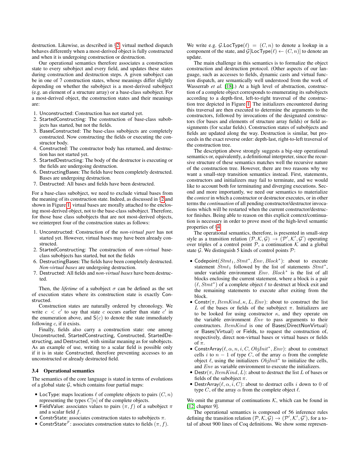destruction. Likewise, as described in §[2,](#page-2-0) virtual method dispatch behaves differently when a most-derived object is fully constructed and when it is undergoing construction or destruction.

Our operational semantics therefore associates a construction state to every subobject and every field, and updates these states during construction and destruction steps. A given subobject can be in one of 7 construction states, whose meanings differ slightly depending on whether the subobject is a most-derived subobject (e.g. an element of a structure array) or a base-class subobject. For a most-derived object, the construction states and their meanings are:

- 1. Unconstructed: Construction has not started yet.
- 2. StartedConstructing: The construction of base-class subobjects has started, but not the fields.
- 3. BasesConstructed: The base-class subobjects are completely constructed. Now constructing the fields or executing the constructor body.
- 4. Constructed: The constructor body has returned, and destruction has not started yet.
- 5. StartedDestructing: The body of the destructor is executing or the fields are undergoing destruction.
- 6. DestructingBases: The fields have been completely destructed. Bases are undergoing destruction.
- 7. Destructed: All bases and fields have been destructed.

For a base-class subobject, we need to exclude virtual bases from the meaning of its construction state. Indeed, as discussed in §[2](#page-2-1) and shown in Figure [1,](#page-3-0) virtual bases are morally attached to the enclosing most-derived object, not to the base-class subobject. Therefore, for those base class subobjects that are not most-derived objects, we reinterpret four of the construction states as follows:

- 1. Unconstructed: Construction of the *non-virtual part* has not started yet. However, virtual bases may have been already constructed.
- 2. StartedConstructing: The construction of *non-virtual* baseclass subobjects has started, but not the fields
- 6. DestructingBases: The fields have been completely destructed. *Non-virtual bases* are undergoing destruction.
- 7. Destructed: All fields and *non-virtual bases* have been destructed.

Then, the *lifetime* of a subobject  $\sigma$  can be defined as the set of execution states where its construction state is exactly Constructed.

Construction states are naturally ordered by chronology. We write  $c < c'$  to say that state c occurs earlier than state  $c'$  in the enumeration above, and  $S(c)$  to denote the state immediately following  $c$ , if it exists.

Finally, fields also carry a construction state: one among Unconstructed, StartedConstructing, Constructed, StartedDestructing, and Destructed, with similar meaning as for subobjects. As an example of use, writing to a scalar field is possible only if it is in state Constructed, therefore preventing accesses to an unconstructed or already destructed field.

#### <span id="page-5-0"></span>3.4 Operational semantics

The semantics of the core language is stated in terms of evolutions of a global state  $G$ , which contains four partial maps:

- LocType: maps locations  $\ell$  of complete objects to pairs  $(C, n)$ representing the types  $C[n]$  of the complete objects.
- FieldValue: associates values to pairs  $(\pi, f)$  of a subobject  $\pi$ and a scalar field f.
- Constr $\text{State:}$  associates construction states to subobjects  $\pi$ .
- Constr $\text{State}^{\mathcal{F}}$ : associates construction states to fields  $(\pi, f)$ .

We write e.g.  $G.LocType(\ell) = (C, n)$  to denote a lookup in a component of the state, and  $G$ [LocType $(\ell) \leftarrow (C, n)$ ] to denote an update.

The main challenge in this semantics is to formalize the object construction and destruction protocol. (Other aspects of our language, such as accesses to fields, dynamic casts and virtual function dispatch, are semantically well understood from the work of Wasserrab *et al.* [\[18\]](#page-12-7).) At a high level of abstraction, construction of a complete object corresponds to enumerating its subobjects according to a depth-first, left-to-right traversal of the construction tree depicted in Figure [1.](#page-3-0) The initializers encountered during this traversal are then executed to determine the arguments to the constructors, followed by invocations of the designated constructors (for bases and elements of structure array fields) or field assignments (for scalar fields). Construction states of subobjects and fields are updated along the way. Destruction is similar, but proceeds in the exact reverse order: depth-last, right-to-left traversal of the construction tree.

The description above strongly suggests a big-step operational semantics or, equivalently, a definitional interpreter, since the recursive structure of these semantics matches well the recursive nature of the construction tree. However, there are two reasons why we want a small-step transition semantics instead. First, statements, constructors and initializers may fail to terminate, and we would like to account both for terminating and diverging executions. Second and more importantly, we need our semantics to materialize the *context* in which a constructor or destructor executes, or in other terms the *continuation* of all pending constructor/destructor invocations which will be restarted when the current constructor/destructor finishes. Being able to reason on this explicit context/continuation is necessary in order to prove most of the high-level semantic properties of §[4.](#page-7-0)

The operational semantics, therefore, is presented in small-step style as a transition relation  $(\mathcal{P}, \mathcal{K}, \mathcal{G}) \to (\mathcal{P}', \mathcal{K}', \mathcal{G}')$  operating over triples of a control point  $P$ , a continuation  $K$  and a global state G. We distinguish 5 kinds of control points  $P$ :

- Codepoint $(Stmt_1, Stmt^*, Env, Block^*)$ : about to execute statement  $\dot{S}tmt_1$  followed by the list of statements  $Stmt^*$ , under variable environment  $Env$ .  $Block^*$  is the list of all blocks enclosing the current statement, where a block is a pair  $(\ell, Stmt^*)$  of a complete object  $\ell$  to destruct at block exit and the remaining statements to execute after exiting from the block.
- Constr( $\pi$ , ItemKind,  $\kappa$ , L, Env): about to construct the list L of the bases or fields of the subobject  $\pi$ . Initializers are to be looked for using constructor  $\kappa$ , and they operate on the variable environment Env to pass arguments to their constructors. *ItemKind* is one of Bases(DirectNonVirtual) or Bases(Virtual) or Fields, to request the construction of, respectively, direct non-virtual bases or virtual bases or fields of  $\pi$ .
- ConstrArray $(\ell, \alpha, n, i, C, ObjInit^*, Env)$ : about to construct cells i to  $n - 1$  of type C, of the array  $\alpha$  from the complete object  $\ell$ , using the initializers  $ObjInit^*$  to initialize the cells, and *Env* as variable environment to execute the initializers.
- Destr( $\pi$ , *ItemKind*, *L*): about to destruct the list *L* of bases or fields of the subobject  $\pi$ .
- DestrArray( $\ell, \alpha, i, C$ ): about to destruct cells i down to 0 of type C, of the array  $\alpha$  from the complete object  $\ell$ .

We omit the grammar of continuations  $K$ , which can be found in [\[12,](#page-12-2) chapter 9].

The operational semantics is composed of 56 inference rules defining the transition relation  $(\mathcal{P}, \mathcal{K}, \mathcal{G}) \to (\mathcal{P}', \mathcal{K}', \mathcal{G}')$ , for a total of about 900 lines of Coq definitions. We show some represen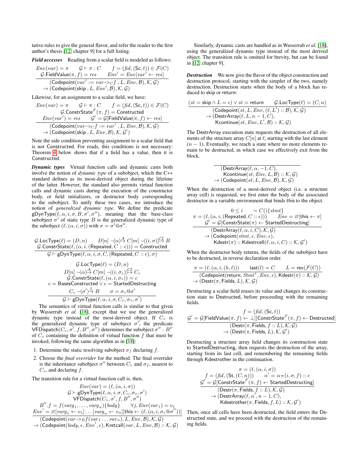tative rules to give the general flavor, and refer the reader to the first author's thesis [\[12,](#page-12-2) chapter 9] for a full listing.

*Field accesses* Reading from a scalar field is modeled as follows:

$$
Env(var) = \pi \qquad \mathcal{G} \vdash \pi : C \qquad f = (fd, (\mathsf{Sc}, t)) \in \mathcal{F}(C)
$$
\n
$$
\mathcal{G}.\mathsf{FieldValue}(\pi, f) = res \qquad Env' = Env[var' \leftarrow res]
$$
\n
$$
(\mathsf{Codepoint}(var' := var \rightarrow_{C} f, L, Env, \mathcal{B}), \mathcal{K}, \mathcal{G})
$$
\n
$$
\rightarrow (\mathsf{Codepoint}(\mathsf{skip}, L, Env', \mathcal{B}), \mathcal{K}, \mathcal{G})
$$

Likewise, for an assignment to a scalar field, we have:

$$
Env(var) = \pi \qquad \mathcal{G} \vdash \pi : C \qquad f = (fid, (\mathsf{Sc}, t)) \in \mathcal{F}(C)
$$
\n
$$
\mathcal{G}.\mathsf{Construct}^{\mathcal{F}}(\pi, f) = \mathsf{Constructed}
$$
\n
$$
Env(var') = res \qquad \mathcal{G}' = \mathcal{G}[\mathsf{FieldValue}(\pi, f) \leftarrow res]
$$
\n
$$
(\mathsf{Codepoint}(var \rightarrow cf := var', L, Env, \mathcal{B}), \mathcal{K}, \mathcal{G})
$$
\n
$$
\rightarrow (\mathsf{Codepoint}(\mathsf{skip}, L, Env, \mathcal{B}), \mathcal{K}, \mathcal{G}')
$$

Note the side condition preventing assignment to a scalar field that is not Constructed. For reads, this conditions is not necessary: Theorem [4](#page-8-0) below shows that if a field has a value, then it is Constructed.

*Dynamic types* Virtual function calls and dynamic casts both involve the notion of *dynamic type* of a subobject, which the C++ standard defines as its most-derived object during the lifetime of the latter. However, the standard also permits virtual function calls and dynamic casts during the execution of the constructor body, or field initializers, or destructor body corresponding to the subobject. To unify these two cases, we introduce the notion of *generalized dynamic type*. We define the predicate gDynType $(\ell, \alpha, i, \sigma, B, \sigma', \sigma'')$ , meaning that the base-class subobject  $\sigma'$  of static type B is the generalized dynamic type of the subobject  $(\ell, (\alpha, i, \sigma))$  with  $\sigma = \sigma' \mathbb{Q} \sigma''$ .

$$
\mathcal{G}.\text{LocType}(\ell) = (D, n) \qquad D[n] \neg \langle \alpha \rangle \negthinspace \stackrel{\Delta}{\rightarrow} C[m] \neg \langle (i, \sigma) \rangle \negthinspace \stackrel{\text{CF}}{\rightarrow} B
$$
\n
$$
\mathcal{G}.\text{Construct}(\ell, (\alpha, i, (\text{Repeated}, C :: \epsilon))) = \text{Constructed}
$$
\n
$$
\mathcal{G} \vdash \text{gDynType}(\ell, \alpha, i, \sigma, C, (\text{Repeated}, C :: \epsilon), \sigma)
$$
\n
$$
\mathcal{G}.\text{LocType}(\ell) = (D, n)
$$
\n
$$
D[n] \neg \langle \alpha \rangle \negthinspace \stackrel{\Delta}{\rightarrow} C[m] \neg \langle (i, \sigma_{\circ}) \rangle \negthinspace \stackrel{\text{CT}}{\rightarrow} C_{\circ}
$$
\n
$$
\mathcal{G}.\text{Construct}(\ell, (\alpha, i, \sigma_{\circ})) = c
$$
\n
$$
c = \text{BaseConstructed} \lor c = \text{StartedDestructing}
$$
\n
$$
\frac{C_{\circ} \neg \langle \sigma' \rangle \negthinspace \stackrel{\text{T}}{\rightarrow} B \qquad \sigma = \sigma_{\circ} @ \sigma'}{\mathcal{G} \vdash \text{gDynType}(\ell, \alpha, i, \sigma, C_{\circ}, \sigma_{\circ}, \sigma')}
$$
\nThe semantics of virtual function calls is similar to that give

The semantics of virtual function calls is similar to that given by Wasserrab *et al.* [\[18\]](#page-12-7), except that we use the generalized dynamic type instead of the most-derived object. If  $C<sub>o</sub>$  is the generalized dynamic type of subobject  $\sigma'$ , the predicate VFDispatch $(C_\circ, \sigma', f, B'', \sigma'')$  determines the subobject  $\sigma'' : B''$ of  $C<sub>o</sub>$  containing the definition of virtual function f that must be invoked, following the same algorithm as in [\[18\]](#page-12-7):

- 1. Determine the static resolving subobject  $\sigma_f$  declaring f.
- 2. Choose the *final overrider* for the method. The final overrider is the inheritance subobject  $\sigma''$  between  $C_{\circ}$  and  $\sigma_f$ , nearest to  $C_{\circ}$ , and declaring f.

The transition rule for a virtual function call is, then,

$$
Env(var) = (\ell, (\alpha, i, \sigma))
$$
  
\n
$$
\mathcal{G} \vdash \text{gDynType}(\ell, \alpha, i, \sigma, C_{\circ}, \sigma_{\circ}, \sigma')
$$
  
\n
$$
\text{VFDispatch}(C_{\circ}, \sigma', f, B'', \sigma'')
$$
  
\n
$$
B'', f = f(varg_1, \dots, varg_n) \{body\} \quad \forall j, Env(var_j) = v_j
$$
  
\n
$$
Env' = \varnothing [varg_1 \leftarrow v_1] \dots [varg_n \leftarrow v_n][\text{this} \leftarrow (\ell, (\alpha, i, \sigma_{\circ} @ \sigma''))]
$$
  
\n(Codepoint(var \rightarrow\_B f(var\_1 \dots var\_n), L, Env, B), K, G)

$$
\rightarrow (Codepoint(body, \epsilon, Env', \epsilon), Kretcall(var, L, Env, B) :: K, G)
$$

Similarly, dynamic casts are handled as in Wasserrab *et al.* [\[18\]](#page-12-7), using the generalized dynamic type instead of the most derived object. The transition rule is omitted for brevity, but can be found in [\[12,](#page-12-2) chapter 9].

*Destruction* We now give the flavor of the object construction and destruction protocol, starting with the simpler of the two, namely destruction. Destruction starts when the body of a block has reduced to skip or return:

$$
\frac{(st = \textsf{skip} \land L = \epsilon) \lor st = \textsf{return} \qquad \mathcal{G}.\textsf{LocType}(\ell) = (C, n)}{(\textsf{Codepoint}(st, L, Env, (\ell, L') :: \mathcal{B}), \mathcal{K}, \mathcal{G})} \rightarrow (\textsf{DestArray}(\ell, L, n - 1, C), \\ \textsf{Kcontinue}(st, Env, L', \mathcal{B}) :: \mathcal{K}, \mathcal{G})
$$

The DestrArray execution state requests the destruction of all elements of the structure array  $C[n]$  at  $\ell$ , starting with the last element  $(n - 1)$ . Eventually, we reach a state where no more elements remain to be destructed, in which case we effectively exit from the block.

$$
(\text{DestrArray}(\ell, \alpha, -1, C),
$$
  
Kcontinue(st, Env, L, B) :: K, G)  

$$
\rightarrow (\text{Codepoint(st}, L, Env, B), K, G)
$$

When the destruction of a most-derived object (i.e. a structure array cell) is requested, we first enter the body of the associated destructor in a variable environment that binds this to the object.

$$
\pi = (\ell, (\alpha, i, (\text{Repeated}, C::\epsilon))) \qquad Env = \varnothing[\text{this} \leftarrow \pi] \n\underline{G'} = \underline{G}[\text{Construct}(\pi) \leftarrow \text{StartedDestructing}] \n\underbrace{\text{(DestrArray}(\ell, \alpha, i, C), K, G)}_{\text{Codepoint}(\text{stmt}, \epsilon, Env, \epsilon)}, \\ \rightarrow (\text{Codepoint}(\ell, \alpha, i, C), K, G) :: K, G')
$$

When the destructor body returns, the fields of the subobject have to be destructed, in reverse declaration order.

$$
\begin{array}{ll} \pi = (\ell, (\alpha, i, (h, l))) & \mathsf{last}(l) = C & L = \mathsf{rev}(\mathcal{F}(C)) \\ \hline (\mathsf{Codepoint}(\mathsf{return}, \mathit{Stmt}^*, \mathit{Env}, \epsilon), \mathsf{Kdestr}(\pi) :: \mathcal{K}, \mathcal{G}) \\ \rightarrow (\mathsf{Destr}(\pi, \mathsf{Fields}, L), \mathcal{K}, \mathcal{G}) & \end{array}
$$

Destructing a scalar field erases its value and changes its construction state to Destructed, before proceeding with the remaining fields.

$$
f = (fid, (\mathsf{Sc}, t))
$$
\n
$$
\mathcal{G}' = \mathcal{G}[\mathsf{FieldValue}(\pi, f) \leftarrow \bot][\mathsf{ConstructSet}^{\mathcal{F}}(\pi, f) \leftarrow \mathsf{Destructed}]
$$
\n
$$
(\mathsf{Destr}(\pi, \mathsf{Fields}, f :: L), \mathcal{K}, \mathcal{G})
$$
\n
$$
\rightarrow (\mathsf{Destr}(\pi, \mathsf{Fields}, L), \mathcal{K}, \mathcal{G}')
$$

Destructing a structure array field changes its construction state to StartedDestructing, then requests the destruction of the array, starting from its last cell, and remembering the remaining fields through Kdestrother in the continuation.

$$
\pi = (\ell, (\alpha, i, \sigma))
$$
\n
$$
f = (fid, (\text{St}, (C, n))) \quad \alpha' = \alpha + (i, \sigma, f) :: \epsilon
$$
\n
$$
\mathcal{G}' = \mathcal{G}[\text{Construct}^{\mathcal{F}}(\pi, f) \leftarrow \text{StartedDestructing}]
$$
\n
$$
(\text{Destr}(\pi, \text{Fields}, f :: L), \mathcal{K}, \mathcal{G})
$$
\n
$$
\rightarrow (\text{DestrArray}(\ell, \alpha', n - 1, C),
$$
\nKdestrother
$$
(\pi, \text{Fields}, f, L) :: \mathcal{K}, \mathcal{G}')
$$

Then, once all cells have been destructed, the field enters the Destructed state, and we proceed with the destruction of the remaining fields.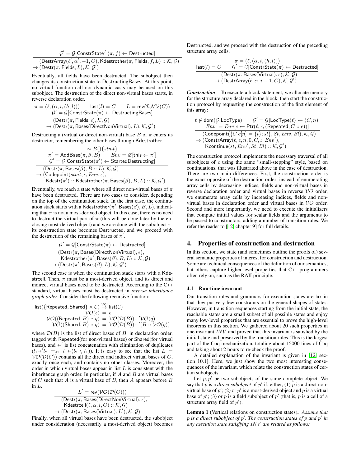$$
\mathcal{G}' = \mathcal{G}[\mathsf{ConstrState}^{\mathcal{F}}(\pi, f) \gets \mathsf{Destructed}]
$$

 $($ DestrArray $(\ell', \alpha', -1, C)$ , Kdestrother $(\pi,$  Fields,  $f, L) :: \mathcal{K}, \mathcal{G})$  $\rightarrow (\mathsf{Destr}(\pi,\mathsf{Fields},L),\mathcal{K},\mathcal{G}')$ 

Eventually, all fields have been destructed. The subobject then changes its construction state to DestructingBases. At this point, no virtual function call nor dynamic casts may be used on this subobject. The destruction of the direct non-virtual bases starts, in reverse declaration order.

$$
\pi = (\ell, (\alpha, i, (h, l))) \qquad \text{last}(l) = C \qquad L = \text{rev}(\mathcal{D}\mathcal{N}\mathcal{V}(C))
$$
\n
$$
\mathcal{G}' = \mathcal{G}[\text{Construct}(\pi) \leftarrow \text{DestructingBases}]
$$
\n
$$
\left(\text{Destr}(\pi, \text{Fields}, \epsilon), \mathcal{K}, \mathcal{G}\right)
$$
\n
$$
\rightarrow (\text{Destr}(\pi, \text{Bases}(\text{DirectNonVirtual}), L), \mathcal{K}, \mathcal{G}')
$$

Destructing a (virtual or direct non-virtual) base B of  $\pi$  enters its destructor, remembering the other bases through Kdestrother.

$$
\begin{array}{c}\n\sim B()\{stmt}\\\pi'=\mathsf{AddBase}(\pi,\beta,B)\qquad Env=\varnothing[\mathsf{this} \leftarrow \pi']\\ \mathcal{G}'=\mathcal{G}[\mathsf{ConstrState}(\pi')\leftarrow\mathsf{StartedDestructing}]\n\hline\n(\mathsf{Destr}(\pi,\mathsf{Bases}(\beta),B::L),\mathcal{K},\mathcal{G})\n\rightarrow(\mathsf{Codepoint}(stmt,\epsilon,\mathit{Env},\epsilon),\\ \mathsf{Kdestr}(\pi')::\mathsf{Kdestrother}(\pi,\mathsf{Bases}(\beta),B,L)::\mathcal{K},\mathcal{G}')\n\end{array}
$$

Eventually, we reach a state where all direct non-virtual bases of  $\pi$ have been destructed. There are two cases to consider, depending on the top of the continuation stack. In the first case, the continuation stack starts with a Kdestrother $(\pi',\text{Bases}(\beta),B,L)$ , indicating that  $\pi$  is not a most-derived object. In this case, there is no need to destruct the virtual part of  $\pi$  (this will be done later by the enclosing most-derived object) and we are done with the subobject  $\pi$ : its construction state becomes Destructed, and we proceed with the destruction of the remaining bases of  $\pi'$ .

$$
\begin{array}{c}\mathcal{G}'=\mathcal{G}[\text{ConstructSet}(\pi)\leftarrow \text{Destructed}]\\ \hline (\text{Destr}(\pi,\text{Bases}(\text{DirectNonVirtual}),\epsilon),\\ \text{Kdestrother}(\pi',\text{Bases}(\beta),B,L)::\mathcal{K},\mathcal{G})\\ \to (\text{Destr}(\pi',\text{Bases}(\beta),L),\mathcal{K},\mathcal{G}')\end{array}
$$

The second case is when the continuation stack starts with a Kdestrcell. Then,  $\pi$  must be a most-derived object, and its direct and indirect virtual bases need to be destructed. According to the C++ standard, virtual bases must be destructed in *reverse inheritance graph order*. Consider the following recursive function:

list({Repeated, Shared} \times C) 
$$
\stackrel{\mathcal{VC}}{\rightarrow}
$$
 list(C)  
\n
$$
\mathcal{VO}(\epsilon) = \epsilon
$$
\n
$$
\mathcal{VO}((Repeated, B) :: q) = \mathcal{VO}(\mathcal{D}(B)) + \mathcal{VO}(q)
$$
\n
$$
\mathcal{VO}((Shared, B) :: q) = \mathcal{VO}(\mathcal{D}(B)) + \mathcal{VO}(q)
$$
\n
$$
\mathcal{VO}((Shared, B) :: q) = \mathcal{VO}(\mathcal{D}(B)) + \mathcal{VO}(q)
$$

where  $\mathcal{D}(B)$  is the list of direct bases of B, in declaration order, tagged with Repeated(for non-virtual bases) or Shared(for virtual bases), and  $+$ ' is list concatenation with elimination of duplicates  $(l_1 + l_2) =_{def} l_1 + (l_2 \setminus l_1)$ . It is easy to see that the list  $L =$  $V\mathcal{O}(\mathcal{D}(C))$  contains all the direct and indirect virtual bases of C, exactly once each, and contains no other classes. Moreover, the order in which virtual bases appear in list  $L$  is consistent with the inheritance graph order. In particular, if  $A$  and  $B$  are virtual bases of C such that A is a virtual base of B, then A appears before  $B$ in L.

$$
\begin{array}{c} L' = \mathsf{rev}(\mathcal{V}\mathcal{O}(\mathcal{D}(C))) \\ \hline \text{(Destr}(\pi, \mathsf{Bases}(\mathsf{DirectNonVirtual}), \epsilon), \\ \mathsf{Kdestrcell}(\ell, \alpha, i, C) :: \mathcal{K}, \mathcal{G}) \\ \to (\mathsf{Destr}(\pi, \mathsf{Bases}(\mathsf{Virtual}), L'), \mathcal{K}, \mathcal{G}) \end{array}
$$

Finally, when all virtual bases have been destructed, the subobject under consideration (necessarily a most-derived object) becomes Destructed, and we proceed with the destruction of the preceding structure array cells.

$$
\pi = (\ell, (\alpha, i, (h, l)))
$$
\n
$$
\text{last}(l) = C \qquad \mathcal{G}' = \mathcal{G}[\text{Construct}(\pi) \leftarrow \text{Destructed}]
$$
\n
$$
\text{(Destr}(\pi, \text{Bases}(\text{Virtual}), \epsilon), \mathcal{K}, \mathcal{G})
$$
\n
$$
\rightarrow (\text{DestrArray}(\ell, \alpha, i-1, C), \mathcal{K}, \mathcal{G}')
$$

*Construction* To execute a block statement, we allocate memory for the structure array declared in the block, then start the construction protocol by requesting the construction of the first element of this array:

$$
\begin{array}{ll} \ell \not\in \operatorname{dom}(\mathcal{G}.\mathsf{LocType}) & \mathcal{G}' = \mathcal{G}[\mathsf{LocType}(\ell) \leftarrow (C,n)] \\ \hline \operatorname{\it Env}' = \mathit{Env}[c \leftarrow \mathsf{Ptr}(\ell, \epsilon, (\mathsf{Repeated}, C:: \epsilon))] \\ & \hline (\mathsf{Codepoint}(\{C \ c[n] = \{ \iota \}; st \}, \mathit{St}, \mathit{Env}, \mathit{Bl}), \mathcal{K}, \mathcal{G}) \\ \rightarrow (\mathsf{ConstrArray}(\ell, \epsilon, n, 0, C, \iota, \mathit{Env}'), \\ \mathsf{Kcontinue}(\mathit{st}, \mathit{Env}', \mathit{St}, \mathit{Bl}) :: \mathcal{K}, \mathcal{G}') \end{array}
$$

The construction protocol implements the necessary traversal of all subobjects of c using the same "small-stepping" style, based on continuations, that was illustrated above in the case of destruction. There are two main differences. First, the construction order is the exact opposite of the destruction order: instead of enumerating array cells by decreasing indices, fields and non-virtual bases in reverse declaration order and virtual bases in reverse VO order, we enumerate array cells by increasing indices, fields and nonvirtual bases in declaration order and virtual bases in VO order. Second and more importantly, we need to execute the initializers that compute initial values for scalar fields and the arguments to be passed to constructors, adding a number of transition rules. We refer the reader to [\[12,](#page-12-2) chapter 9] for full details.

### <span id="page-7-0"></span>4. Properties of construction and destruction

In this section, we state (and sometimes outline the proofs of) several semantic properties of interest for construction and destruction. Some are technical consequences of the definition of our semantics, but others capture higher-level properties that C++ programmers often rely on, such as the RAII principle.

#### <span id="page-7-2"></span>4.1 Run-time invariant

Our transition rules and grammars for execution states are lax in that they put very few constraints on the general shapes of states. However, in transition sequences starting from the initial state, the reachable states are a small subset of all possible states and enjoy many low-level properties that are essential to prove the high-level theorems in this section. We gathered about 20 such properties in one invariant INV and proved that this invariant is satisfied by the initial state and preserved by the transition rules. This is the largest part of the Coq mechanization, totaling about 15000 lines of Coq and taking about 2 hours to re-check the proof.

A detailed explanation of the invariant is given in [\[12,](#page-12-2) section 10.1]. Here, we just show the two most interesting consequences of the invariant, which relate the construction states of certain subobjects.

Let  $p, p'$  be two subobjects of the same complete object. We say that p is a *direct subobject* of p' if, either, (1) p is a direct nonvirtual base of  $p'$ ; (2) or  $p'$  is a most-derived object and p is a virtual base of  $p'$ ; (3) or p is a field subobject of p' (that is, p is a cell of a structure array field of  $p'$ ).

<span id="page-7-1"></span>Lemma 1 (Vertical relations on construction states). *Assume that* p *is a direct subobject of* p ′ *. The construction states of* p *and* p ′ *in any execution state satisfying* INV *are related as follows:*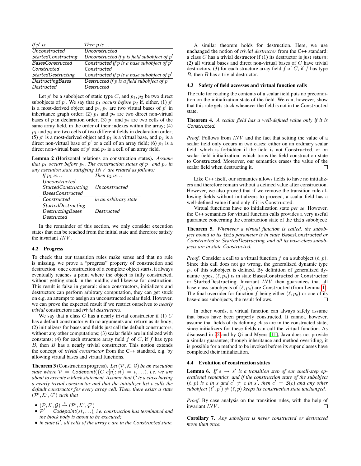| If $p'$ is                 | Then $p$ is                                               |
|----------------------------|-----------------------------------------------------------|
| Unconstructed              | Unconstructed                                             |
| <b>StartedConstructing</b> | Unconstructed if p is field subobject of $p'$             |
| <b>BasesConstructed</b>    | Constructed if $\overline{p}$ is a base subobject of $p'$ |
| Constructed                | Constructed                                               |
| <b>StartedDestructing</b>  | Constructed if $p$ is a base subobject of $p'$            |
| <b>DestructingBases</b>    | Destructed if p is a field subobject of $p'$              |
| Destructed                 | Destructed                                                |

Let  $p'$  be a subobject of static type C, and  $p_1, p_2$  be two direct subobjects of p'. We say that  $p_1$  *occurs before*  $p_2$  if, either, (1) p' is a most-derived object and  $p_1, p_2$  are two virtual bases of  $p'$  in inheritance graph order; (2)  $p_1$  and  $p_2$  are two direct non-virtual bases of p in declaration order; (3)  $p_1$  and  $p_2$  are two cells of the same array field, in the order of their indexes within the array; (4)  $p_1$  and  $p_2$  are two cells of two different fields in declaration order; (5)  $p'$  is a most-derived object and  $p_1$  is a virtual base, and  $p_2$  is a direct non-virtual base of  $p'$  or a cell of an array field; (6)  $p_1$  is a direct non-virtual base of  $p'$  and  $p_2$  is a cell of an array field.

Lemma 2 (Horizontal relations on construction states). *Assume that*  $p_1$  *occurs before*  $p_2$ *. The construction states of*  $p_1$  *and*  $p_2$  *in any execution state satisfying* INV *are related as follows:*

| If $p_1$ is                | Then $p_2$ is         |
|----------------------------|-----------------------|
| Unconstructed              |                       |
| <b>StartedConstructing</b> | Unconstructed         |
| <b>BasesConstructed</b>    |                       |
| Constructed                | in an arbitrary state |
| <b>StartedDestructing</b>  |                       |
| <b>DestructingBases</b>    | Destructed            |
| Destructed                 |                       |

In the remainder of this section, we only consider execution states that can be reached from the initial state and therefore satisfy the invariant INV .

#### 4.2 Progress

To check that our transition rules make sense and that no rule is missing, we prove a "progress" property of construction and destruction: once construction of a complete object starts, it always eventually reaches a point where the object is fully constructed, without getting stuck in the middle; and likewise for destruction. This result is false in general: since constructors, initializers and destructors can perform arbitrary computation, they can get stuck on e.g. an attempt to assign an unconstructed scalar field. However, we can prove the expected result if we restrict ourselves to *nearly trivial* constructors and *trivial destructors*.

We say that a class  $C$  has a nearly trivial constructor if (1)  $C$ has a default constructor with no arguments and return as its body; (2) initializers for bases and fields just call the default constructors, without any other computations; (3) scalar fields are initialized with constants; (4) for each structure array field  $f$  of  $C$ , if  $f$  has type  $B$ , then  $B$  has a nearly trivial constructor. This notion extends the concept of *trivial constructor* from the C++ standard, e.g. by allowing virtual bases and virtual functions.

**Theorem 3** (Construction progress). Let  $(P, K, G)$  be an execution *state where*  $P = \text{Codepoint}(\lbrace C \ c[n]; st \rbrace = \iota, \ldots)$ *, i.e. we are about to execute a block statement. Assume that* C *is a class having a nearly trivial constructor and that the initializer list* ι *calls the default constructor for every array cell. Then, there exists a state*  $(\mathcal{P}', \mathcal{K}', \mathcal{G}')$  such that

- $(\mathcal{P}, \mathcal{K}, \mathcal{G}) \stackrel{*}{\rightarrow} (\mathcal{P}', \mathcal{K}', \mathcal{G}')$
- $\bullet$   $\mathcal{P}'$  = Codepoint $(st, \ldots)$ , *i.e. construction has terminated and the block body is about to be executed;*
- *in state* G ′ *, all cells of the array* c *are in the* Constructed *state.*

A similar theorem holds for destruction. Here, we use unchanged the notion of *trivial destructor* from the C++ standard: a class C has a trivial destructor if (1) its destructor is just return; (2) all virtual bases and direct non-virtual bases of  $C$  have trivial destructors; (3) for each structure array field  $f$  of  $C$ , if  $f$  has type  $B$ , then  $B$  has a trivial destructor.

#### 4.3 Safety of field accesses and virtual function calls

The rule for reading the contents of a scalar field puts no precondition on the initialization state of the field. We can, however, show that this rule gets stuck whenever the field is not in the Constructed state.

<span id="page-8-0"></span>Theorem 4. *A scalar field has a well-defined value only if it is* Constructed*.*

*Proof.* Follows from INV and the fact that setting the value of a scalar field only occurs in two cases: either on an ordinary scalar field, which is forbidden if the field is not Constructed, or on scalar field initialization, which turns the field construction state to Constructed. Moreover, our semantics erases the value of the scalar field when destructing it. П

Like C++ itself, our semantics allows fields to have no initializers and therefore remain without a defined value after construction. However, we also proved that if we remove the transition rule allowing fields without initializers to proceed, a scalar field has a well-defined value if and only if it is Constructed.

Virtual functions have no initialization state *per se*. However, the C++ semantics for virtual function calls provides a very useful guarantee concerning the construction state of the this subobject:

Theorem 5. *Whenever a virtual function is called, the subobject bound to its* this *parameter is in state* BasesConstructed *or* Constructed *or* StartedDestructing*, and all its base-class subobjects are in state* Constructed*.*

*Proof.* Consider a call to a virtual function f on a subobject  $(\ell, p)$ . Since this call does not go wrong, the generalized dynamic type  $p<sub>o</sub>$  of this subobject is defined. By definition of generalized dynamic types,  $(\ell, p_o)$  is in state BasesConstructed or Constructed or StartedDestructing. Invariant INV then guarantees that all base-class subobjects of  $(\ell, p_o)$  are Constructed (from Lemma [1\)](#page-7-1). The final overrider for function f being either  $(\ell, p_o)$  or one of its base-class subobjects, the result follows.  $\Box$ 

In other words, a virtual function can always safely assume that bases have been properly constructed. It cannot, however, assume that fields of its defining class are in the constructed state, since initializers for these fields can call the virtual function. As discussed in §[2](#page-2-0) and by Qi and Myers [\[11\]](#page-12-9), Java does not provide a similar guarantee; through inheritance and method overriding, it is possible for a method to be invoked before its super classes have completed their initialization.

#### 4.4 Evolution of construction states

<span id="page-8-1"></span>**Lemma 6.** If  $s \to s'$  is a transition step of our small-step op*erational semantics, and if the construction state of the subobject*  $(\ell, p)$  *is c in s and*  $c' \neq c$  *in s'*, *then*  $c' = S(c)$  *and any other*  $\mathit{subobject}(\ell',p') \neq (\ell,p)$  keeps its construction state unchanged.

*Proof.* By case analysis on the transition rules, with the help of invariant INV .  $\Box$ 

Corollary 7. *Any subobject is never constructed or destructed more than once.*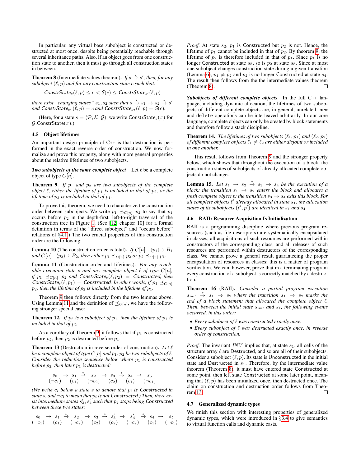In particular, any virtual base subobject is constructed or destructed at most once, despite being potentially reachable through several inheritance paths. Also, if an object goes from one construction state to another, then it must go through all construction states in between:

<span id="page-9-2"></span>**Theorem 8** (Intermediate values theorem). If  $s \stackrel{*}{\rightarrow} s'$ , then, for any *subobject* (ℓ, p) *and for any construction state* c *such that:*

$$
\mathsf{Construct}(\ell,p) \leq c < S(c) \leq \mathsf{Construct}(\ell,p)
$$

*there exist "changing states"*  $s_1, s_2$  *such that*  $s \stackrel{*}{\rightarrow} s_1 \rightarrow s_2 \stackrel{*}{\rightarrow} s'$ and  $\text{Construct}_{{\bf s}_1}(\ell, p) = c$  and  $\text{Construct}_{{\bf s}_2}(\ell, p) = S(c)$ .

(Here, for a state  $s = (\mathcal{P}, \mathcal{K}, \mathcal{G})$ , we write Constr $\text{State}_s(\pi)$  for  $G$ .Constr $State(\pi)$ .)

#### 4.5 Object lifetimes

An important design principle of C++ is that destruction is performed in the exact reverse order of construction. We now formalize and prove this property, along with more general properties about the relative lifetimes of two subobjects.

*Two subobjects of the same complete object* Let ℓ be a complete object of type  $C[n]$ .

<span id="page-9-0"></span>**Theorem 9.** If  $p_1$  and  $p_2$  are two subobjects of the complete *object*  $\ell$ *, either the lifetime of*  $p_1$  *is included in that of*  $p_2$ *, or the lifetime of*  $p_2$  *is included in that of*  $p_1$ *.* 

To prove this theorem, we need to characterize the construction order between subobjects. We write  $p_1 \preceq_{C[n]} p_2$  to say that  $p_1$ occurs before  $p_2$  in the depth-first, left-to-right traversal of the construction tree in Figure [1.](#page-3-0) (See [\[12,](#page-12-2) chapter 10] for a formal definition in terms of the "direct subobject" and "occurs before" relations of §[4.1.](#page-7-2)) The two crucial properties of this construction order are the following:

**Lemma 10** (The construction order is total). *If*  $C[n] \rightarrow p_1 \rightarrow B_1$ *and*  $C[n] \neg(p_2) \rightarrow B_2$ , then either  $p_1 \preceq_{C[n]} p_2$  or  $p_2 \preceq_{C[n]} p_1$ .

<span id="page-9-1"></span>Lemma 11 (Construction order and lifetimes). *For any reachable execution state s and any complete object*  $\ell$  *of type*  $C[n]$ *, if*  $p_1 \preceq_{C[n]} p_2$  *and* ConstrState<sub>s</sub>( $\ell, p_2$ ) = Constructed, then ConstrState<sub>s</sub>( $\ell, p_1$ ) = Constructed. In other words, if  $p_1 \preceq_{C[n]}$  $p_2$ *, then the lifetime of*  $p_2$  *is included in the lifetime of*  $p_1$ *.* 

Theorem [9](#page-9-0) then follows directly from the two lemmas above. Using Lemma [11](#page-9-1) and the definition of  $\preceq_{C[n]}$ , we have the following stronger special case:

**Theorem 12.** *If*  $p_2$  *is a subobject of*  $p_1$ *, then the lifetime of*  $p_1$  *is included in that of*  $p_2$ *.* 

As a corollary of Theorem [9,](#page-9-0) it follows that if  $p_1$  is constructed before  $p_2$ , then  $p_2$  is destructed before  $p_1$ .

<span id="page-9-3"></span>Theorem 13 (Destruction in reverse order of construction). *Let* ℓ *be a complete object of type*  $C[n]$  *and*  $p_1, p_2$  *be two subobjects of*  $\ell$ *. Consider the reduction sequence below where*  $p_1$  *is constructed before*  $p_2$ *, then later*  $p_1$  *is destructed:* 

$$
\begin{array}{rcl}\ns_0 & \rightarrow & s_1 \stackrel{*}{\rightarrow} & s_2 \rightarrow s_3 \stackrel{*}{\rightarrow} s_4 \rightarrow s_5 \\
(\neg c_1) & (c_1) & (\neg c_2) & (c_2) & (c_1) & (\neg c_1)\n\end{array}
$$

*(We write*  $c_i$  *below a state s to denote that*  $p_i$  *is* Constructed *in state s, and*  $\neg c_i$  *to mean that*  $p_i$  *is not* Constructed.) Then, there ex*ist intermediate states* s ′ 3, s′ <sup>4</sup> *such that* p<sup>2</sup> *stops being* Constructed *between these two states:*

$$
\begin{array}{ccccccccc} s_0 & \to & s_1 & \stackrel{*}{\to} & s_2 & \to & s_3 & \stackrel{*}{\to} & s'_3 & \to & s'_4 & \stackrel{*}{\to} & s_4 & \to & s_5 \\ (\neg c_1) & (c_1) & (\neg c_2) & (c_2) & (c_2) & (\neg c_2) & (c_1) & (\neg c_1) \end{array}
$$

*Proof.* At state  $s_2$ ,  $p_1$  is Constructed but  $p_2$  is not. Hence, the lifetime of  $p_1$  cannot be included in that of  $p_2$ . By theorem [9,](#page-9-0) the lifetime of  $p_2$  is therefore included in that of  $p_1$ . Since  $p_1$  is no longer Constructed at state  $s_5$ , so is  $p_2$  at state  $s_5$ . Since at most one subobject changes construction state during a given transition (Lemma [6\)](#page-8-1),  $p_1 \neq p_2$  and  $p_2$  is no longer Constructed at state  $s_4$ . The result then follows from the the intermediate values theorem (Theorem [8\)](#page-9-2).  $\Box$ 

*Subobjects of different complete objects* In the full C++ language, including dynamic allocation, the lifetimes of two subobjects of different complete objects are, in general, unrelated: new and delete operations can be interleaved arbitrarily. In our core language, complete objects can only be created by block statements and therefore follow a stack discipline.

<span id="page-9-5"></span>**Theorem 14.** *The lifetimes of two subobjects*  $(\ell_1, p_1)$  *and*  $(\ell_2, p_2)$ *of different complete objects*  $\ell_1 \neq \ell_2$  *are either disjoint or included in one another.*

This result follows from Theorem [9](#page-9-0) and the stronger property below, which shows that throughout the execution of a block, the construction states of subobjects of already-allocated complete objects do not change:

**Lemma 15.** Let  $s_1 \rightarrow s_2 \stackrel{*}{\rightarrow} s_3 \rightarrow s_4$  be the execution of a *block: the transition*  $s_1 \rightarrow s_2$  *enters the block and allocates a fresh complete object*  $\ell$ *; the transition*  $s_3 \rightarrow s_4$  *exits this block. For all complete objects* ℓ ′ *already allocated in state* s1*, the allocation states of its subobjects*  $(\ell', p')$  *are identical in*  $s_1$  *and*  $s_4$ *.* 

#### 4.6 RAII: Resource Acquisition Is Initialization

RAII is a programming discipline where precious program resources (such as file descriptors) are systematically encapsulated in classes, all acquisitions of such resources are performed within constructors of the corresponding class, and all releases of such resources are performed within destructors of the corresponding class. We cannot prove a general result guaranteeing the proper encapsulation of resources in classes: this is a matter of program verification. We can, however, prove that in a terminating program every construction of a subobject is correctly matched by a destruction.

Theorem 16 (RAII). *Consider a partial program execution*  $s_{init} \stackrel{*}{\rightarrow} s_1 \rightarrow s_2$  where the transition  $s_1 \rightarrow s_2$  marks the *end of a block statement that allocated the complete object* ℓ*. Then, between the initial state*  $s_{init}$  *and*  $s_1$ *, the following events occurred, in this order:*

- *Every subobject of* ℓ *was constructed exactly once.*
- *Every subobject of* ℓ *was destructed exactly once, in reverse order of construction.*

*Proof.* The invariant  $INV$  implies that, at state  $s<sub>1</sub>$ , all cells of the structure array  $\ell$  are Destructed, and so are all of their subobjects. Consider a subobject  $(\ell, p)$ . Its state is Unconstructed in the initial state and Destructed in  $s_1$ . Therefore, by the intermediate value theorem (Theorem [8\)](#page-9-2), it must have entered state Constructed at some point, then left state Constructed at some later point, meaning that  $(\ell, p)$  has been initialized once, then destructed once. The claim on construction and destruction order follows from Theorem [13.](#page-9-3)  $\Box$ 

#### <span id="page-9-4"></span>4.7 Generalized dynamic types

We finish this section with interesting properties of generalized dynamic types, which were introduced in §[3.4](#page-5-0) to give semantics to virtual function calls and dynamic casts.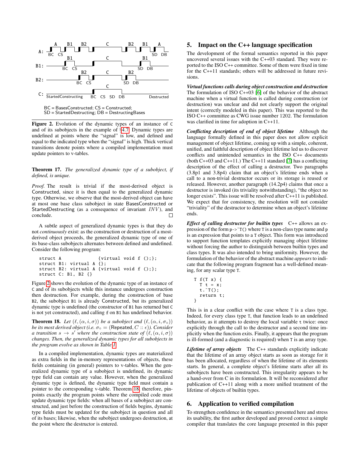

<span id="page-10-0"></span>Figure 2. Evolution of the dynamic types of an instance of C and of its subobjects in the example of §[4.7.](#page-9-4) Dynamic types are undefined at points where the "signal" is low, and defined and equal to the indicated type when the "signal" is high. Thick vertical transitions denote points where a compiled implementation must update pointers to v-tables.

Theorem 17. *The generalized dynamic type of a subobject, if defined, is unique.*

*Proof.* The result is trivial if the most-derived object is Constructed, since it is then equal to the generalized dynamic type. Otherwise, we observe that the most-derived object can have at most one base class subobject in state BasesConstructed or StartedDestructing (as a consequence of invariant INV), and conclude.  $\Box$ 

A subtle aspect of generalized dynamic types is that they do not *continuously* exist: as the construction or destruction of a mostderived object proceeds, the generalized dynamic type of one of its base-class subobjects alternates between defined and undefined. Consider the following program:

```
struct A {virtual void f ();};
struct B1: virtual A {};
struct B2: virtual A {virtual void f ();};
struct C: B1, B2 {}
```
Figure [2](#page-10-0) shows the evolution of the dynamic type of an instance of C and of its subobjects while this instance undergoes construction then destruction. For example, during the construction of base B2, the subobject B1 is already Constructed, but its generalized dynamic type is undefined (the constructor of B1 has returned but C is not yet constructed), and calling f on B1 has undefined behavior.

<span id="page-10-1"></span>**Theorem 18.** Let  $(\ell, (\alpha, i, \sigma))$  be a subobject and  $(\ell, (\alpha, i, \sigma))$ *be its most derived object (i.e.*  $\sigma_{\circ} = (\text{Repeated}, C :: \epsilon)$ *). Consider a* transition  $s \to s'$  where the construction state of  $(\ell, (\alpha, i, \sigma))$ *changes. Then, the generalized dynamic types for all subobjects in the program evolve as shown in Table [1.](#page-11-0)*

In a compiled implementation, dynamic types are materialized as extra fields in the in-memory representations of objects, these fields containing (in general) pointers to v-tables. When the generalized dynamic type of a subobject is undefined, its dynamic type field can contain any value. However, when the generalized dynamic type is defined, the dynamic type field must contain a pointer to the corresponding v-table. Theorem [18,](#page-10-1) therefore, pinpoints exactly the program points where the compiled code must update dynamic type fields: when all bases of a subobject are constructed, and just before the construction of fields begins, dynamic type fields must be updated for the subobject in question and all of its bases; likewise, when the subobject undergoes destruction, at the point where the destructor is entered.

# 5. Impact on the C++ language specification

The development of the formal semantics reported in this paper uncovered several issues with the C++03 standard. They were reported to the ISO C++ committee. Some of them were fixed in time for the C++11 standards; others will be addressed in future revisions.

*Virtual functions calls during object construction and destruction* The formulation of ISO C++03 [\[6\]](#page-12-10) of the behavior of the abstract machine when a virtual function is called during construction (or destruction) was unclear and did not clearly support the original intent (correctly modeled in this paper). This was reported to the ISO C++ committee as CWG issue number 1202. The formulation was clarified in time for adoption in C++11.

*Conflicting description of end of object lifetime* Although the language formally defined in this paper does not allow explicit management of object lifetime, coming up with a simple, coherent, unified, and faithful description of object lifetime led us to discover conflicts and unintended semantics in the ISO C++ documents (both  $C+03$  and  $C+11$ .) The  $C+11$  standard [\[7\]](#page-12-11) has a conflicting description of the effect of calling a destructor. Two paragraphs (3.8p1 and 3.8p4) claim that an object's lifetime ends when a call to a non-trivial destructor occurs or its storage is reused or released. However, another paragraph (14.2p4) claims that once a destructor is invoked (its triviality notwithstanding), "the object no longer exists". This issue will be resolved after C++11 is published. We expect that for consistency, the resolution will not consider "triviality" of the destructor to determine when an object's lifetime ends.

*Effect of calling destructor for builtin types* C++ allows an expression of the form p->˜T() where T is a non-class type name and p is an expression that points to a T object. This form was introduced to support function templates explicitly managing object lifetime without forcing the author to distinguish between builtin types and class types. It was also intended to bring uniformity. However, the formulation of the behavior of the abstract machine *appears* to indicate that the following program fragment has a well-defined meaning, for any scalar type T.

$$
\begin{array}{c}\nT f(T x) {\n\quad t = x;\n\\
t . ^T T();\n\\
return t;\n}\n\end{array}
$$

This is in a clear conflict with the case where T is a class type. Indeed, for every class type T, that function leads to an undefined behavior, as it attempts to destroy the local variable t twice: once explicitly through the call to the destructor and a second time implicitly when the function exits. Finally, it appears that the program is ill-formed (and a diagnostic is required) when T is an array type.

*Lifetime of array objects* The C++ standards explicitly indicate that the lifetime of an array object starts as soon as storage for it has been allocated, regardless of when the lifetime of its elements starts. In general, a complete object's lifetime starts after all its subobjects have been constructed. This irregularity appears to be a hand-over from C in its formulation. It will be reconsidered after publication of C++11 along with a more unified treatment of the lifetime of objects of builtin types.

# 6. Application to verified compilation

To strengthen confidence in the semantics presented here and stress its usability, the first author developed and proved correct a simple compiler that translates the core language presented in this paper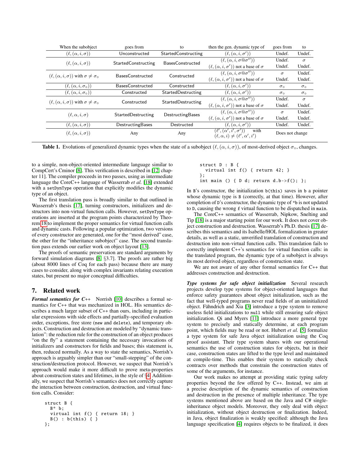| When the subobject                                               | goes from                  | to                      | then the gen. dynamic type of                                                              | goes from        | to               |
|------------------------------------------------------------------|----------------------------|-------------------------|--------------------------------------------------------------------------------------------|------------------|------------------|
| $(\ell,(\alpha,i,\sigma))$                                       | Unconstructed              | StartedConstructing     | $(\ell, (\alpha, i, \sigma'))$                                                             | Undef.           | Undef.           |
| $(\ell,(\alpha,i,\sigma))$                                       | <b>StartedConstructing</b> | <b>BasesConstructed</b> | $(\ell, (\alpha, i, \sigma \mathbb{Q} \sigma''))$                                          | Undef.           | $\sigma$         |
|                                                                  |                            |                         | $(\ell, (\alpha, i, \sigma'))$ not a base of $\sigma$                                      | Undef.           | Undef.           |
| $(\ell, (\alpha, i, \sigma))$ with $\sigma \neq \sigma_{\alpha}$ | <b>BasesConstructed</b>    | Constructed             | $(\ell, (\alpha, i, \sigma \mathbb{Q} \sigma''))$                                          | $\sigma$         | Undef.           |
|                                                                  |                            |                         | $(\ell, (\alpha, i, \sigma'))$ not a base of $\sigma$                                      | Undef.           | Undef.           |
| $(\ell, (\alpha, i, \sigma_{\rm o}))$                            | <b>BasesConstructed</b>    | Constructed             | $(\ell, (\alpha, i, \sigma'))$                                                             | $\sigma_{\rm o}$ | $\sigma_{\circ}$ |
| $(\ell, (\alpha, i, \sigma_{\circ}))$                            | Constructed                | StartedDestructing      | $(\ell, (\alpha, i, \sigma'))$                                                             | $\sigma_{\rm o}$ | $\sigma_{\rm o}$ |
| $(\ell, (\alpha, i, \sigma))$ with $\sigma \neq \sigma_{\rm o}$  | Constructed                | StartedDestructing      | $(\ell, (\alpha, i, \sigma \mathbb{Q} \sigma''))$                                          | Undef.           | $\sigma$         |
|                                                                  |                            |                         | $(\ell, (\alpha, i, \sigma'))$ not a base of $\sigma$                                      | Undef.           | Undef.           |
| $(\ell, \alpha, i, \sigma)$                                      | StartedDestructing         | DestructingBases        | $(\ell, (\alpha, i, \sigma \mathbb{Q} \sigma''))$                                          | $\sigma$         | Undef.           |
|                                                                  |                            |                         | $(\ell, (\alpha, i, \sigma'))$ not a base of $\sigma$                                      | Undef.           | Undef.           |
| $(\ell,(\alpha,i,\sigma))$                                       | <b>DestructingBases</b>    | Destructed              | $(\ell, (\alpha, i, \sigma'))$                                                             | Undef.           | Undef.           |
| $(\ell,(\alpha,i,\sigma))$                                       | Any                        | Any                     | $(\ell', (\alpha', i', \sigma'))$<br>with<br>$(\ell, \alpha, i) \neq (\ell', \alpha', i')$ | Does not change  |                  |

<span id="page-11-0"></span>**Table 1.** Evolutions of generalized dynamic types when the state of a subobject  $(\ell, (\alpha, i, \sigma))$ , of most-derived object  $\sigma_{\circ}$ , changes.

to a simple, non-object-oriented intermediate language similar to CompCert's Cminor [\[8\]](#page-12-12). This verification is described in [\[12,](#page-12-2) chapter 11]. The compiler proceeds in two passes, using as intermediate language the CoreC++ language of Wasserrab *et al.* [\[18\]](#page-12-7) extended with a setDynType operation that explicitly modifies the dynamic type of an object.

The first translation pass is broadly similar to that outlined in Wasserrab's thesis [\[17\]](#page-12-13), turning constructors, initializers and destructors into non-virtual function calls. However, setDynType operations are inserted at the program points characterized by Theorem [18](#page-10-1) to implement the proper semantics for virtual function calls and dynamic casts. Following a popular optimization, two versions of every constructor are generated, one for the "most derived" case, the other for the "inheritance subobject" case. The second translation pass extends our earlier work on object layout [\[13\]](#page-12-8).

The proofs of semantic preservation are standard arguments by forward simulation diagrams [\[8,](#page-12-12) §3.7]. The proofs are rather big (about 8000 lines of Coq for each pass) because there are many cases to consider, along with complex invariants relating execution states, but present no major conceptual difficulties.

# 7. Related work

*Formal semantics for C*++ Norrish [\[10\]](#page-12-14) describes a formal semantics for C++ that was mechanized in HOL. His semantics describes a much larger subset of C++ than ours, including in particular expressions with side effects and partially-specified evaluation order, exceptions, free store (new and delete), and temporary objects. Construction and destruction are modeled by "dynamic translation": the reduction rule for the construction of an object produces "on the fly" a statement containing the necessary invocations of initializers and constructors for fields and bases; this statement is, then, reduced normally. As a way to state the semantics, Norrish's approach is arguably simpler than our "small-stepping" of the construction/destruction protocol. However, we suspect that Norrish's approach would make it more difficult to prove meta-properties about construction states and lifetimes, in the style of §[4.](#page-7-0) Additionally, we suspect that Norrish's semantics does not correctly capture the interaction between construction, destruction, and virtual function calls. Consider:

```
struct B {
 B^* b:
  virtual int f() { return 18; }
 B() : b(this) { }};
```
struct D : B { virtual int f() { return 42; } }; int main () { D d; return d.b->f(); };

In B's constructor, the initialization b(this) saves in b a pointer whose dynamic type is B (correctly, at that time). However, after completion of D's constructor, the dynamic type of \*b is not updated to D, causing the wrong f virtual function to be dispatched in main.

The CoreC++ semantics of Wasserrab, Nipkow, Snelting and Tip [\[18\]](#page-12-7) is a major starting point for our work. It does not cover object construction and destruction. Wasserrab's Ph.D. thesis [\[17\]](#page-12-13) describes this semantics and its Isabelle/HOL formalization in greater details, as well as a static, unverified translation of construction and destruction into non-virtual function calls. This translation fails to correctly implement C++'s semantics for virtual function calls: in the translated program, the dynamic type of a subobject is always its most derived object, regardless of construction state.

We are not aware of any other formal semantics for C++ that addresses construction and destruction.

*Type systems for safe object initialization* Several research projects develop type systems for object-oriented languages that enforce safety guarantees about object initialization, such as the fact that well-typed programs never read fields of an uninitialized object. Fähndrich and Xia [\[3\]](#page-12-15) introduce a type system to remove useless field initializations to null while still ensuring safe object initialization. Qi and Myers [\[11\]](#page-12-9) introduce a more general type system to precisely and statically determine, at each program point, which fields may be read or not. Hubert *et al.* [\[5\]](#page-12-16) formalize a type system for safe Java object initialization using the Coq proof assistant. Their type system shares with our operational semantics the use of construction states for objects, but in their case, construction states are lifted to the type level and maintained at compile-time. This enables their system to statically check contracts over methods that constrain the construction states of some of the arguments, for instance.

Our work makes no attempt at providing static typing safety properties beyond the few offered by C++. Instead, we aim at a precise description of the dynamic semantics of construction and destruction in the presence of multiple inheritance. The type systems mentioned above are based on the Java and C# singleinheritance object models. Moreover, they only deal with object initialization, without object destruction or finalization. Indeed, in Java, object finalization is weakly specified: although the Java language specification [\[4\]](#page-12-17) requires objects to be finalized, it does